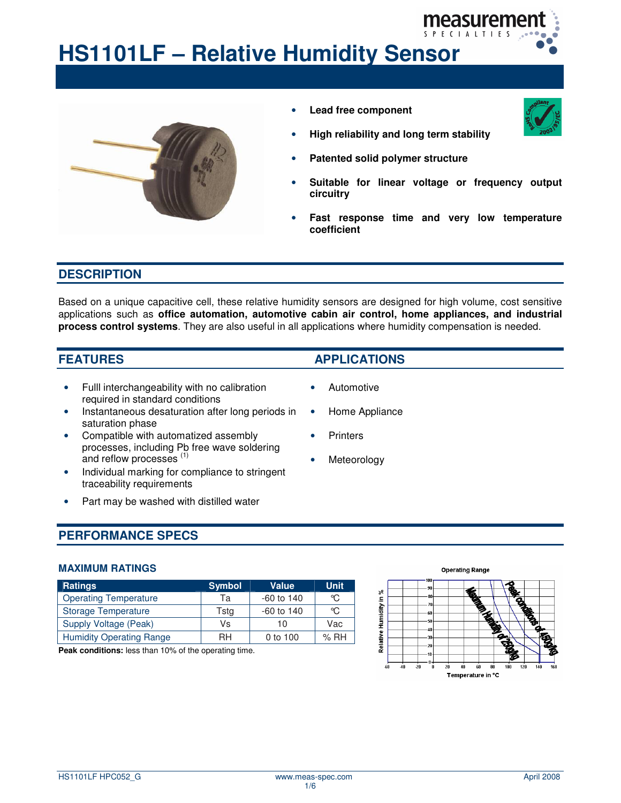

# **HS1101LF – Relative Humidity Sensor**



• **Lead free component**



- **High reliability and long term stability**
- **Patented solid polymer structure**
- **Suitable for linear voltage or frequency output circuitry**
- **Fast response time and very low temperature coefficient**

#### **DESCRIPTION**

Based on a unique capacitive cell, these relative humidity sensors are designed for high volume, cost sensitive applications such as **office automation, automotive cabin air control, home appliances, and industrial process control systems**. They are also useful in all applications where humidity compensation is needed.

- Fulll interchangeability with no calibration required in standard conditions
- Instantaneous desaturation after long periods in saturation phase
- Compatible with automatized assembly processes, including Pb free wave soldering and reflow processes<sup>(1)</sup>
- Individual marking for compliance to stringent traceability requirements
- Part may be washed with distilled water

# **FEATURES APPLICATIONS**

- Automotive
- Home Appliance
- **Printers**
- Meteorology

## **PERFORMANCE SPECS**

#### **MAXIMUM RATINGS**

| <b>Ratings</b>                  | <b>Symbol</b> | <b>Value</b> | <b>Unit</b> |
|---------------------------------|---------------|--------------|-------------|
| <b>Operating Temperature</b>    | Та            | $-60$ to 140 | ℃.          |
| <b>Storage Temperature</b>      | Tstg          | $-60$ to 140 | ∽           |
| Supply Voltage (Peak)           | Vs            | 10           | Vac         |
| <b>Humidity Operating Range</b> | RH            | 0 to 100     | %RH         |

**Peak conditions:** less than 10% of the operating time.

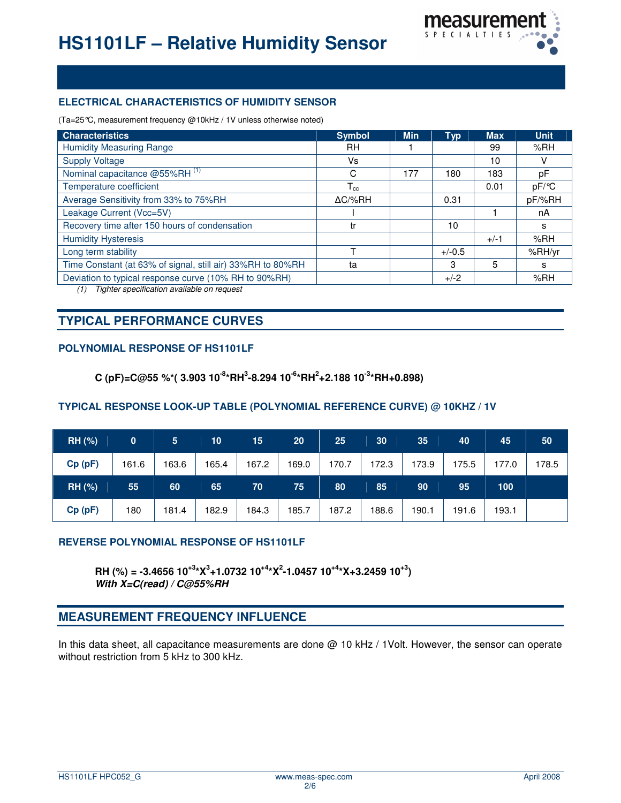

#### **ELECTRICAL CHARACTERISTICS OF HUMIDITY SENSOR**

(Ta=25°C, measurement frequency @10kHz / 1V unless otherwise noted)

| <b>Characteristics</b>                                     | <b>Symbol</b>   | <b>Min</b> | <b>Typ</b> | <b>Max</b> | <b>Unit</b> |
|------------------------------------------------------------|-----------------|------------|------------|------------|-------------|
| <b>Humidity Measuring Range</b>                            | RH              |            |            | 99         | %RH         |
| <b>Supply Voltage</b>                                      | Vs              |            |            | 10         | ν           |
| Nominal capacitance @55%RH <sup>(1)</sup>                  | C               | 177        | 180        | 183        | рF          |
| Temperature coefficient                                    | $T_{cc}$        |            |            | 0.01       | pF/°C       |
| Average Sensitivity from 33% to 75%RH                      | $\Delta C$ /%RH |            | 0.31       |            | pF/%RH      |
| Leakage Current (Vcc=5V)                                   |                 |            |            |            | nA          |
| Recovery time after 150 hours of condensation              | tr              |            | 10         |            | s           |
| <b>Humidity Hysteresis</b>                                 |                 |            |            | $+/-1$     | %RH         |
| Long term stability                                        |                 |            | $+/-0.5$   |            | %RH/yr      |
| Time Constant (at 63% of signal, still air) 33%RH to 80%RH | ta              |            | 3          | 5          | s           |
| Deviation to typical response curve (10% RH to 90%RH)      |                 |            | $+/-2$     |            | %RH         |
| Tighter specification available on request<br>(1)          |                 |            |            |            |             |

# **TYPICAL PERFORMANCE CURVES**

#### **POLYNOMIAL RESPONSE OF HS1101LF**

**C (pF)=C@55 %\*( 3.903 10 -8 \*RH 3 -8.294 10 -6 \*RH 2 +2.188 10 -3 \*RH+0.898)**

#### **TYPICAL RESPONSE LOOK-UP TABLE (POLYNOMIAL REFERENCE CURVE) @ 10KHZ / 1V**

| <b>RH (%)</b> | $\mathbf{0}$ | 5 <sub>1</sub> | 10    | 15    | 20    | 25    | 30    | 35    | 40   | 45    | 50    |
|---------------|--------------|----------------|-------|-------|-------|-------|-------|-------|------|-------|-------|
| Cp(pF)        | 161.6        | 163.6          | 165.4 | 167.2 | 169.0 | 170.7 | 172.3 | 173.9 | 75.5 | 177.0 | 178.5 |
|               |              |                |       |       |       |       |       |       |      |       |       |
| <b>RH (%)</b> | 55           | 60             | 65    | 70    | 75    | 80    | 85    | 90    | 95   | 100   |       |

#### **REVERSE POLYNOMIAL RESPONSE OF HS1101LF**

**RH** (%) = -3.4656 10<sup>+3</sup>\*X<sup>3</sup>+1.0732 10<sup>+4</sup>\*X<sup>2</sup>-1.0457 10<sup>+4</sup>\*X+3.2459 10<sup>+3</sup>) *With X=C(read) / C@55%RH*

# **MEASUREMENT FREQUENCY INFLUENCE**

In this data sheet, all capacitance measurements are done @ 10 kHz / 1Volt. However, the sensor can operate without restriction from 5 kHz to 300 kHz.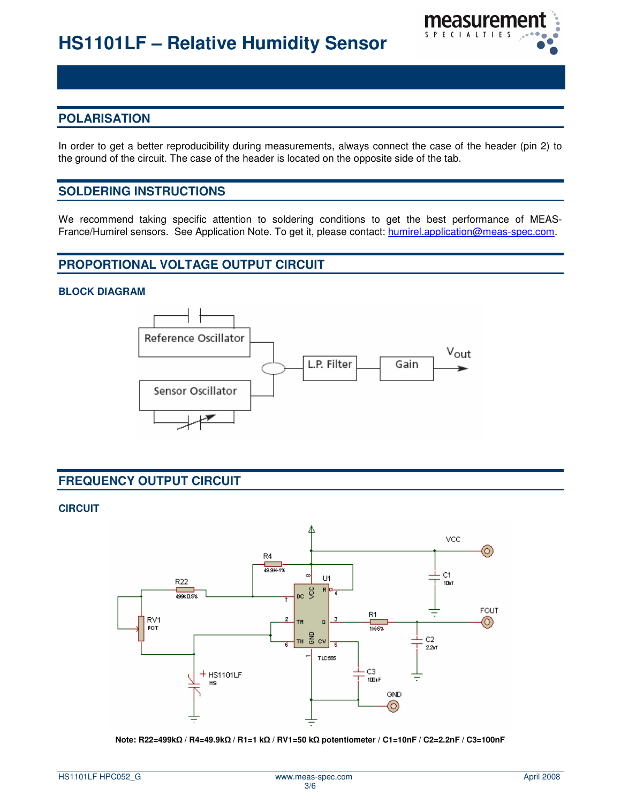

# **POLARISATION**

In order to get a better reproducibility during measurements, always connect the case of the header (pin 2) to the ground of the circuit. The case of the header is located on the opposite side of the tab.

### **SOLDERING INSTRUCTIONS**

We recommend taking specific attention to soldering conditions to get the best performance of MEAS-France/Humirel sensors. See Application Note. To get it, please contact: humirel.application@meas-spec.com.

# **PROPORTIONAL VOLTAGE OUTPUT CIRCUIT**

#### **BLOCK DIAGRAM**



# **FREQUENCY OUTPUT CIRCUIT**

#### **CIRCUIT**



**Note: R22=499k / R4=49.9k / R1=1 k / RV1=50 k potentiometer / C1=10nF / C2=2.2nF / C3=100nF**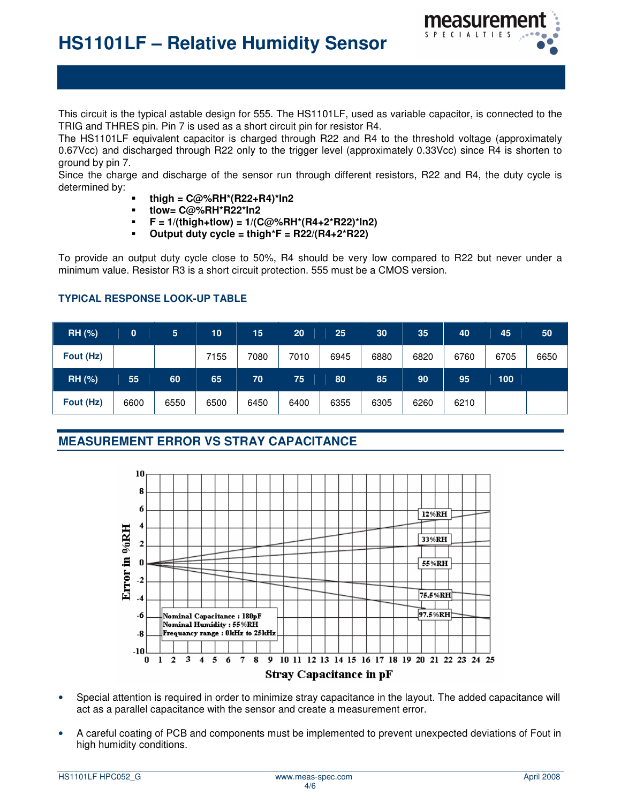

This circuit is the typical astable design for 555. The HS1101LF, used as variable capacitor, is connected to the TRIG and THRES pin. Pin 7 is used as a short circuit pin for resistor R4.

The HS1101LF equivalent capacitor is charged through R22 and R4 to the threshold voltage (approximately 0.67Vcc) and discharged through R22 only to the trigger level (approximately 0.33Vcc) since R4 is shorten to ground by pin 7.

Since the charge and discharge of the sensor run through different resistors, R22 and R4, the duty cycle is determined by:

- **thigh = C@%RH\*(R22+R4)\*ln2**
- **tlow= C@%RH\*R22\*ln2**
- **F = 1/(thigh+tlow) = 1/(C@%RH\*(R4+2\*R22)\*ln2)**
- **Output duty cycle = thigh\*F = R22/(R4+2\*R22)**

To provide an output duty cycle close to 50%, R4 should be very low compared to R22 but never under a minimum value. Resistor R3 is a short circuit protection. 555 must be a CMOS version.

#### **TYPICAL RESPONSE LOOK-UP TABLE**

| RH (%)        | 0    | 5    | 10   | 15   | 20   | 25   | 30   | 35   | 40   | 45   | 50   |
|---------------|------|------|------|------|------|------|------|------|------|------|------|
| Fout (Hz)     |      |      | 7155 | 7080 | 7010 | 6945 | 6880 | 6820 | 6760 | 6705 | 6650 |
| <b>RH (%)</b> | 55   | 60   | 65   | 70   | 75   | 80   | 85   | 90   | 95   | 100  |      |
| Fout (Hz)     | 6600 | 6550 | 6500 | 6450 | 6400 | 6355 | 6305 | 6260 | 6210 |      |      |

# **MEASUREMENT ERROR VS STRAY CAPACITANCE**



- Special attention is required in order to minimize stray capacitance in the layout. The added capacitance will act as a parallel capacitance with the sensor and create a measurement error.
- A careful coating of PCB and components must be implemented to prevent unexpected deviations of Fout in high humidity conditions.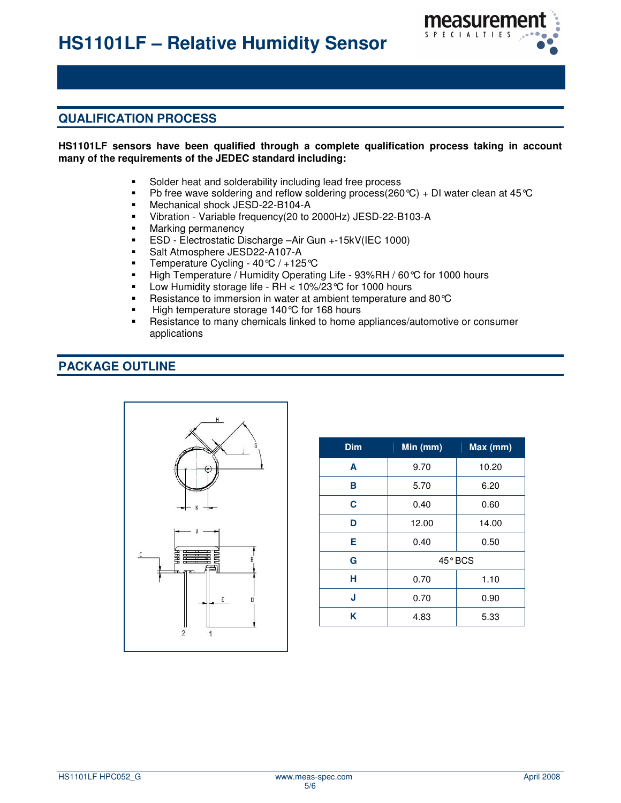

# **QUALIFICATION PROCESS**

#### **HS1101LF sensors have been qualified through a complete qualification process taking in account many of the requirements of the JEDEC standard including:**

- Solder heat and solderability including lead free process
- Ph free wave soldering and reflow soldering process( $260^{\circ}$ C) + DI water clean at 45 $^{\circ}$ C
- **Mechanical shock JESD-22-B104-A**
- Vibration Variable frequency(20 to 2000Hz) JESD-22-B103-A
- **Marking permanency**<br>**ESD** Electrostatic Div
- ESD Electrostatic Discharge –Air Gun +-15kV(IEC 1000)
- **Salt Atmosphere JESD22-A107-A**
- Temperature Cycling  $40^{\circ}C / +125^{\circ}C$
- High Temperature / Humidity Operating Life 93%RH / 60 °C for 1000 hours
- Low Humidity storage life RH < 10%/23 °C for 1000 hours
- **Resistance to immersion in water at ambient temperature and 80 °C**
- High temperature storage 140 °C for 168 hours
- Resistance to many chemicals linked to home appliances/automotive or consumer applications

### **PACKAGE OUTLINE**



| <b>Dim</b> | $Min$ (mm) | Max (mm) |  |  |  |
|------------|------------|----------|--|--|--|
| A          | 9.70       | 10.20    |  |  |  |
| в          | 5.70       | 6.20     |  |  |  |
| C          | 0.40       | 0.60     |  |  |  |
| D          | 12.00      | 14.00    |  |  |  |
| Е          | 0.40       | 0.50     |  |  |  |
| G          | $45°$ BCS  |          |  |  |  |
| н          | 0.70       | 1.10     |  |  |  |
| J          | 0.70       | 0.90     |  |  |  |
| K          | 4.83       | 5.33     |  |  |  |